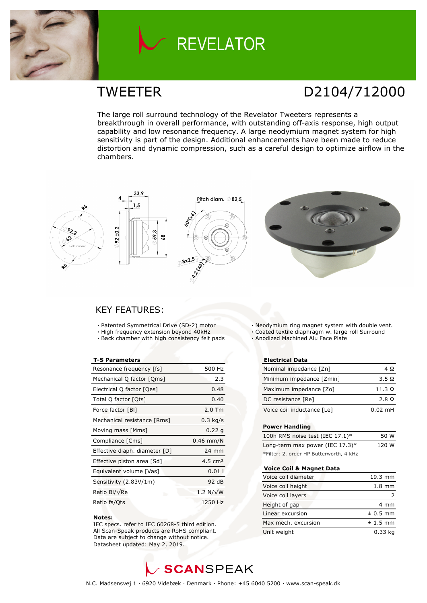

# **REVELATOR**

### TWEETER D2104/712000

The large roll surround technology of the Revelator Tweeters represents a breakthrough in overall performance, with outstanding off-axis response, high output capability and low resonance frequency. A large neodymium magnet system for high sensitivity is part of the design. Additional enhancements have been made to reduce distortion and dynamic compression, such as a careful design to optimize airflow in the chambers.









### KEY FEATURES:

- **·** Patented Symmetrical Drive (SD-2) motor
- **·** High frequency extension beyond 40kHz
- **·** Back chamber with high consistency felt pads

#### **T-S Parameters**

| Resonance frequency [fs]      | 500 Hz           |
|-------------------------------|------------------|
| Mechanical Q factor [Qms]     | 2.3              |
| Electrical Q factor [Qes]     | 0.48             |
| Total Q factor [Qts]          | 0.40             |
| Force factor [BI]             | $2.0$ Tm         |
| Mechanical resistance [Rms]   | $0.3$ kg/s       |
| Moving mass [Mms]             | 0.22 g           |
| Compliance [Cms]              | $0.46$ mm/N      |
| Effective diaph. diameter [D] | 24 mm            |
| Effective piston area [Sd]    | 4.5 $cm2$        |
| Equivalent volume [Vas]       | 0.011            |
| Sensitivity (2.83V/1m)        | 92 dB            |
| Ratio Bl/√Re                  | $1.2 N/\sqrt{W}$ |
| Ratio fs/Qts                  | 1250 Hz          |

#### **Notes:**

 IEC specs. refer to IEC 60268-5 third edition. All Scan-Speak products are RoHS compliant. Data are subject to change without notice. Datasheet updated: May 2, 2019.

**·** Neodymium ring magnet system with double vent.

- **·** Coated textile diaphragm w. large roll Surround
- **·** Anodized Machined Alu Face Plate

#### **Electrical Data**

| Nominal impedance [Zn]     | 4Ω            |
|----------------------------|---------------|
| Minimum impedance [Zmin]   | $3.5 \Omega$  |
| Maximum impedance [Zo]     | $11.3 \Omega$ |
| DC resistance [Re]         | 2.8 Q         |
| Voice coil inductance [Le] | $0.02$ mH     |

#### **Power Handling**

| 100h RMS noise test (IEC 17.1)*         | 50 W  |
|-----------------------------------------|-------|
| Long-term max power (IEC 17.3)*         | 120 W |
| *Filter: 2. order HP Butterworth, 4 kHz |       |

#### **Voice Coil & Magnet Data**

| Voice coil diameter | 19.3 mm          |
|---------------------|------------------|
| Voice coil height   | $1.8 \text{ mm}$ |
| Voice coil layers   |                  |
| Height of gap       | 4 mm             |
| Linear excursion    | $± 0.5$ mm       |
| Max mech. excursion | $± 1.5$ mm       |
| Unit weight         | $0.33$ kg        |